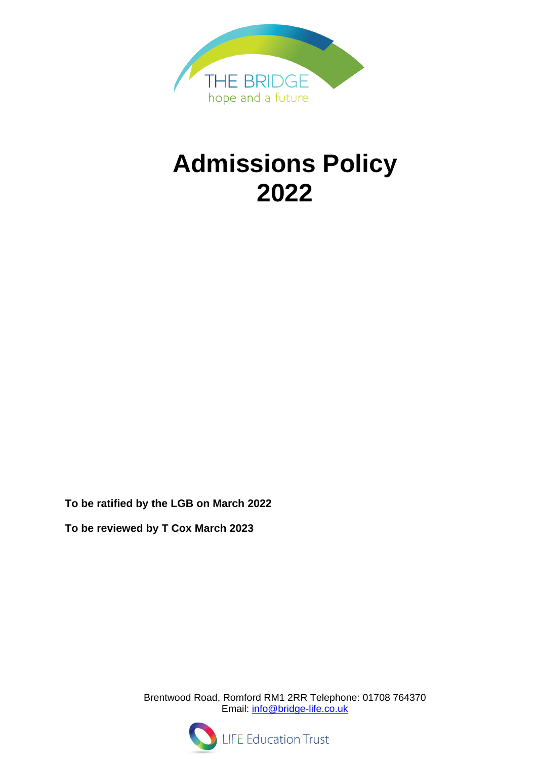

# **Admissions Policy 2022**

**To be ratified by the LGB on March 2022**

**To be reviewed by T Cox March 2023**

Brentwood Road, Romford RM1 2RR Telephone: 01708 764370 Email: [info@bridge-life.co.uk](mailto:info@bridge-life.co.uk)



**LIFE Education Trust**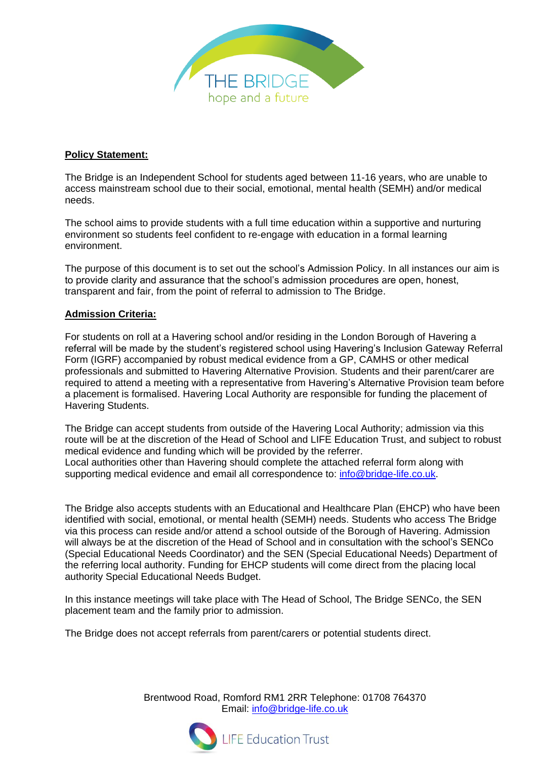

## **Policy Statement:**

The Bridge is an Independent School for students aged between 11-16 years, who are unable to access mainstream school due to their social, emotional, mental health (SEMH) and/or medical needs.

The school aims to provide students with a full time education within a supportive and nurturing environment so students feel confident to re-engage with education in a formal learning environment.

The purpose of this document is to set out the school's Admission Policy. In all instances our aim is to provide clarity and assurance that the school's admission procedures are open, honest, transparent and fair, from the point of referral to admission to The Bridge.

#### **Admission Criteria:**

For students on roll at a Havering school and/or residing in the London Borough of Havering a referral will be made by the student's registered school using Havering's Inclusion Gateway Referral Form (IGRF) accompanied by robust medical evidence from a GP, CAMHS or other medical professionals and submitted to Havering Alternative Provision. Students and their parent/carer are required to attend a meeting with a representative from Havering's Alternative Provision team before a placement is formalised. Havering Local Authority are responsible for funding the placement of Havering Students.

The Bridge can accept students from outside of the Havering Local Authority; admission via this route will be at the discretion of the Head of School and LIFE Education Trust, and subject to robust medical evidence and funding which will be provided by the referrer. Local authorities other than Havering should complete the attached referral form along with supporting medical evidence and email all correspondence to: [info@bridge-life.co.uk.](mailto:info@bridge-life.co.uk)

The Bridge also accepts students with an Educational and Healthcare Plan (EHCP) who have been identified with social, emotional, or mental health (SEMH) needs. Students who access The Bridge via this process can reside and/or attend a school outside of the Borough of Havering. Admission will always be at the discretion of the Head of School and in consultation with the school's SENCo (Special Educational Needs Coordinator) and the SEN (Special Educational Needs) Department of the referring local authority. Funding for EHCP students will come direct from the placing local authority Special Educational Needs Budget.

In this instance meetings will take place with The Head of School, The Bridge SENCo, the SEN placement team and the family prior to admission.

The Bridge does not accept referrals from parent/carers or potential students direct.

Brentwood Road, Romford RM1 2RR Telephone: 01708 764370 Email: [info@bridge-life.co.uk](mailto:info@bridge-life.co.uk)